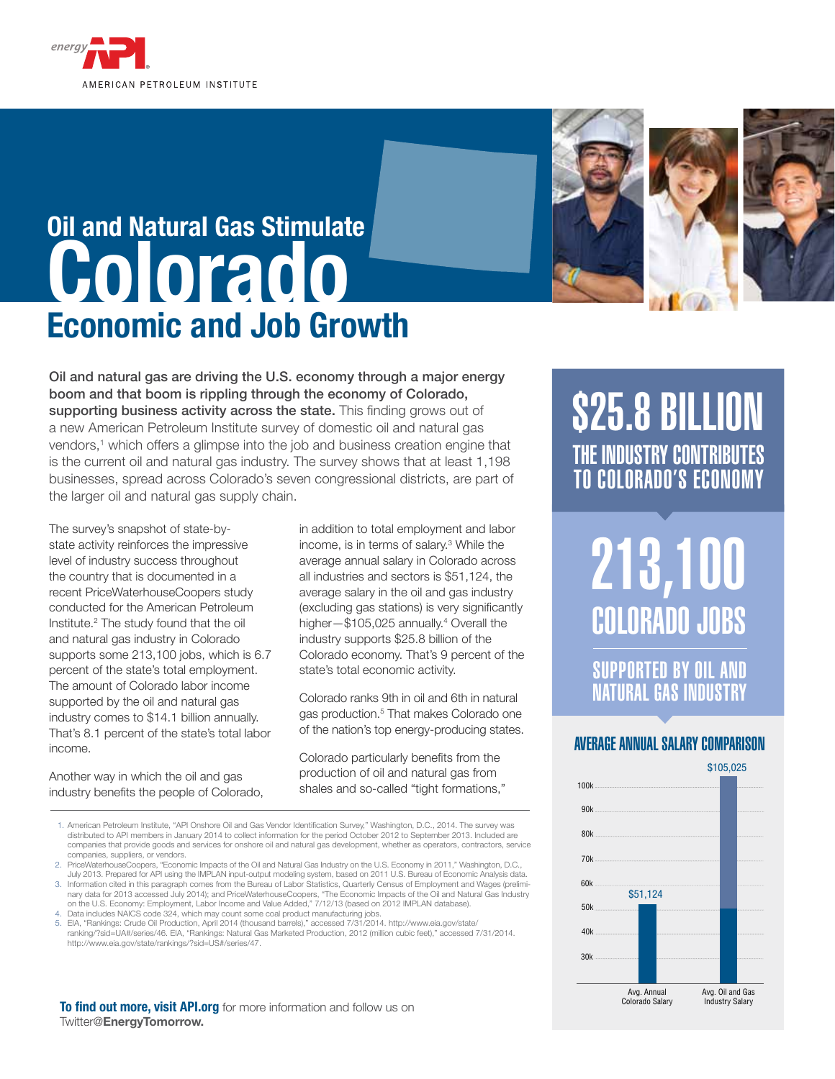

# **Oil and Natural Gas Stimulate Colorado Economic and Job Growth**





Oil and natural gas are driving the U.S. economy through a major energy boom and that boom is rippling through the economy of Colorado, supporting business activity across the state. This finding grows out of a new American Petroleum Institute survey of domestic oil and natural gas vendors,<sup>1</sup> which offers a glimpse into the job and business creation engine that is the current oil and natural gas industry. The survey shows that at least 1,198 businesses, spread across Colorado's seven congressional districts, are part of the larger oil and natural gas supply chain.

The survey's snapshot of state-bystate activity reinforces the impressive level of industry success throughout the country that is documented in a recent PriceWaterhouseCoopers study conducted for the American Petroleum Institute.2 The study found that the oil and natural gas industry in Colorado supports some 213,100 jobs, which is 6.7 percent of the state's total employment. The amount of Colorado labor income supported by the oil and natural gas industry comes to \$14.1 billion annually. That's 8.1 percent of the state's total labor income.

Another way in which the oil and gas industry benefits the people of Colorado, in addition to total employment and labor income, is in terms of salary.3 While the average annual salary in Colorado across all industries and sectors is \$51,124, the average salary in the oil and gas industry (excluding gas stations) is very significantly higher-\$105,025 annually.<sup>4</sup> Overall the industry supports \$25.8 billion of the Colorado economy. That's 9 percent of the state's total economic activity.

Colorado ranks 9th in oil and 6th in natural gas production.5 That makes Colorado one of the nation's top energy-producing states.

Colorado particularly benefits from the production of oil and natural gas from shales and so-called "tight formations,"

- 1. American Petroleum Institute, "API Onshore Oil and Gas Vendor Identification Survey," Washington, D.C., 2014. The survey was distributed to API members in January 2014 to collect information for the period October 2012 to September 2013. Included are companies that provide goods and services for onshore oil and natural gas development, whether as operators, contractors, service companies, suppliers, or vendors.
- 2. PriceWaterhouseCoopers, "Economic Impacts of the Oil and Natural Gas Industry on the U.S. Economy in 2011," Washington, D.C.,

July 2013. Prepared for API using the IMPLAN input-output modeling system, based on 2011 U.S. Bureau of Economic Analysis data. 3. Information cited in this paragraph comes from the Bureau of Labor Statistics, Quarterly Census of Employment and Wages (preliminary data for 2013 accessed July 2014); and PriceWaterhouseCoopers, "The Economic Impacts of the Oil and Natural Gas Industry<br>on the U.S. Economy: Employment, Labor Income and Value Added," 7/12/13 (based on 2012 IMPLAN da

Data includes NAICS code 324, which may count some coal product manufacturing jobs.

5. EIA, "Rankings: Crude Oil Production, April 2014 (thousand barrels)," accessed 7/31/2014. http://www.eia.gov/state/<br>. ranking/?sid=UA#/series/46. EIA, "Rankings: Natural Gas Marketed Production, 2012 (million cubic fee http://www.eia.gov/state/rankings/?sid=US#/series/47.

**To find out more, visit API.org** for more information and follow us on Twitter@**EnergyTomorrow.**

# \$25.8 BILLION THE INDUSTRY CONTRIBUTES TO Colorado'S ECONOMY

213,100 Colorado JOBS

supported by oil and natural gas industry

## AVERAGE ANNUAL SALARY COMPARISON

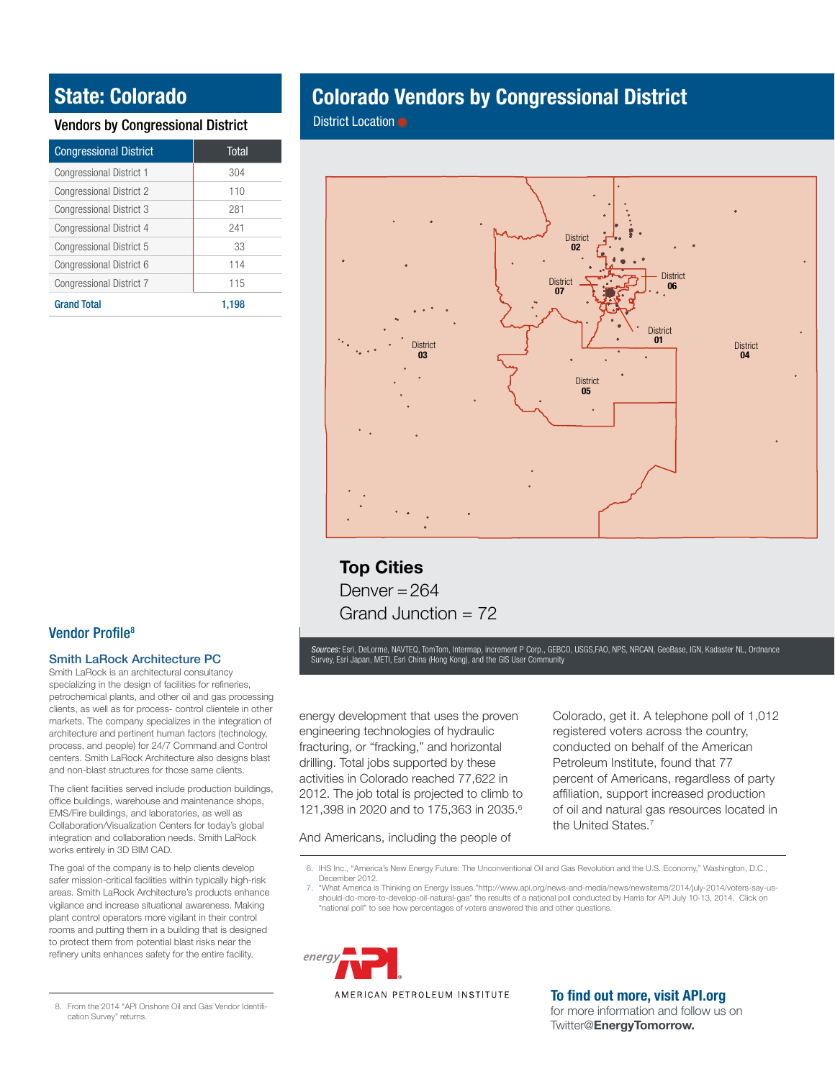## **State: Colorado**

### Vendors by Congressional District

| <b>Congressional District</b>   | <b>Total</b> |
|---------------------------------|--------------|
| Congressional District 1        | 304          |
| <b>Congressional District 2</b> | 110          |
| <b>Congressional District 3</b> | 281          |
| Congressional District 4        | 241          |
| Congressional District 5        | 33           |
| Congressional District 6        | 114          |
| Congressional District 7        | 115          |
| <b>Grand Total</b>              | 1.198        |

## **Colorado Vendors by Congressional District**

District Location ●



## **Top Cities** Denver  $= 264$ Grand Junction  $= 72$

Sources: Esri, DeLorme, NAVTEQ, TomTom, Intermap, increment P Corp., GEBCO, USGS,FAO, NPS, NRCAN, GeoBase, IGN, Kadaster NL, Ordnance Survey, Esri Japan, METI, Esri China (Hong Kong), and the GIS User Community

energy development that uses the proven engineering technologies of hydraulic fracturing, or "fracking," and horizontal drilling. Total jobs supported by these activities in Colorado reached 77,622 in 2012. The job total is projected to climb to 121,398 in 2020 and to 175,363 in 2035.6

And Americans, including the people of

Colorado, get it. A telephone poll of 1,012 registered voters across the country, conducted on behalf of the American Petroleum Institute, found that 77 percent of Americans, regardless of party affiliation, support increased production of oil and natural gas resources located in the United States.<sup>7</sup>

- 6. IHS Inc., "America's New Energy Future: The Unconventional Oil and Gas Revolution and the U.S. Economy," Washington, D.C., December 2012.
- 7. "What America is Thinking on Energy Issues."http://www.api.org/news-and-media/news/newsitems/2014/july-2014/voters-say-usshould-do-more-to-develop-oil-natural-gas" the results of a national poll conducted by Harris for API July 10-13, 2014. Click on "national poll" to see how percentages of voters answered this and other questions.



## **To find out more, visit API.org**

for more information and follow us on Twitter@**EnergyTomorrow.**

### Vendor Profile<sup>8</sup>

### Smith LaRock Architecture PC

Smith LaRock is an architectural consultancy specializing in the design of facilities for refineries, petrochemical plants, and other oil and gas processing clients, as well as for process- control clientele in other markets. The company specializes in the integration of architecture and pertinent human factors (technology, process, and people) for 24/7 Command and Control centers. Smith LaRock Architecture also designs blast and non-blast structures for those same clients.

The client facilities served include production buildings, office buildings, warehouse and maintenance shops, EMS/Fire buildings, and laboratories, as well as Collaboration/Visualization Centers for today's global integration and collaboration needs. Smith LaRock works entirely in 3D BIM CAD.

The goal of the company is to help clients develop safer mission-critical facilities within typically high-risk areas. Smith LaRock Architecture's products enhance vigilance and increase situational awareness. Making plant control operators more vigilant in their control rooms and putting them in a building that is designed to protect them from potential blast risks near the refinery units enhances safety for the entire facility.

<sup>8.</sup> From the 2014 "API Onshore Oil and Gas Vendor Identification Survey" returns.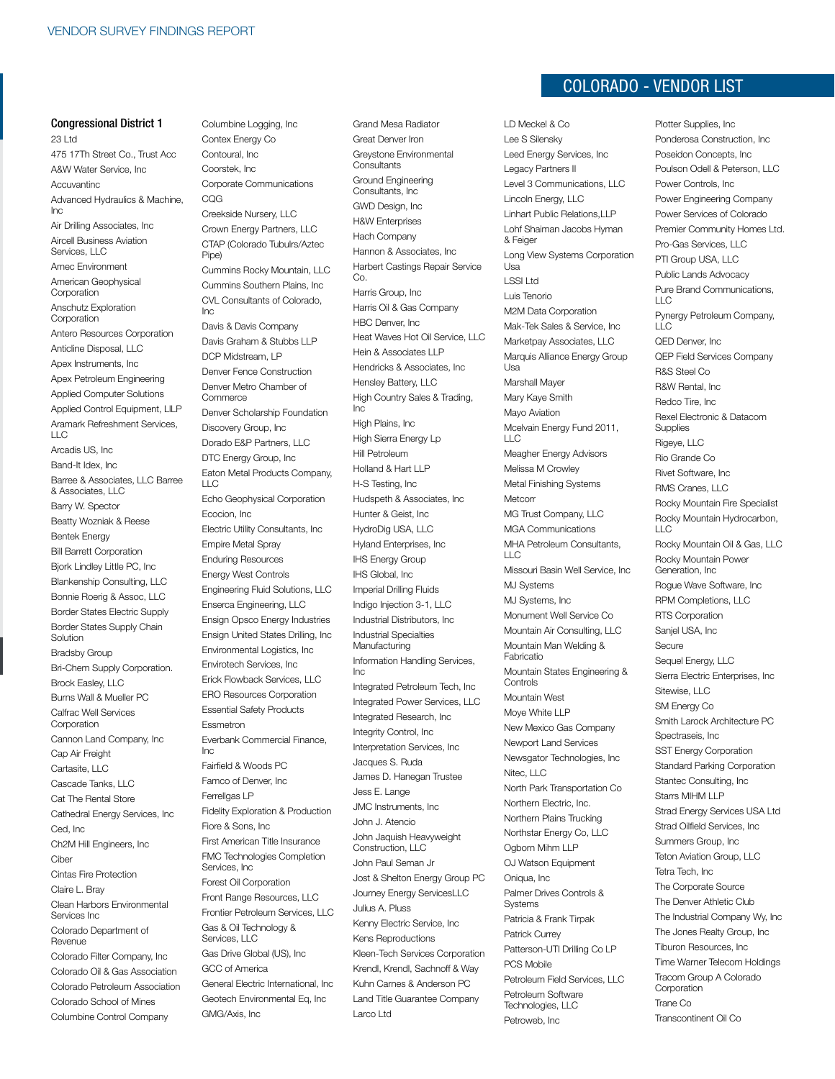#### Congressional District 1

23 Ltd 475 17Th Street Co., Trust Acc A&W Water Service, Inc Accuvantinc Advanced Hydraulics & Machine, Inc Air Drilling Associates, Inc Aircell Business Aviation Services, LLC Amec Environment American Geophysical **Corporation** Anschutz Exploration **Corporation** Antero Resources Corporation Anticline Disposal, LLC Apex Instruments, Inc Apex Petroleum Engineering Applied Computer Solutions Applied Control Equipment, LlLP Aramark Refreshment Services,  $\sqcup$  C Arcadis US, Inc Band-It Idex, Inc Barree & Associates, LLC Barree & Associates, LLC Barry W. Spector Beatty Wozniak & Reese Bentek Energy Bill Barrett Corporation Bjork Lindley Little PC, Inc Blankenship Consulting, LLC Bonnie Roerig & Assoc, LLC Border States Electric Supply Border States Supply Chain Solution Bradsby Group Bri-Chem Supply Corporation. Brock Easley, LLC Burns Wall & Mueller PC Calfrac Well Services Corporation Cannon Land Company, Inc Cap Air Freight Cartasite, LLC Cascade Tanks, LLC Cat The Rental Store Cathedral Energy Services, Inc Ced, Inc Ch2M Hill Engineers, Inc Ciber Cintas Fire Protection Claire L. Bray Clean Harbors Environmental Services Inc Colorado Department of Revenue Colorado Filter Company, Inc Colorado Oil & Gas Association Colorado Petroleum Association Colorado School of Mines Columbine Control Company

Columbine Logging, Inc Contex Energy Co Contoural, Inc Coorstek, Inc Corporate Communications CQG Creekside Nursery, LLC Crown Energy Partners, LLC CTAP (Colorado Tubulrs/Aztec Pipe) Cummins Rocky Mountain, LLC Cummins Southern Plains, Inc CVL Consultants of Colorado, Inc Davis & Davis Company Davis Graham & Stubbs LLP DCP Midstream, LP Denver Fence Construction Denver Metro Chamber of **Commerce** Denver Scholarship Foundation Discovery Group, Inc Dorado E&P Partners, LLC DTC Energy Group, Inc Eaton Metal Products Company,  $\sqcup$  C Echo Geophysical Corporation Ecocion, Inc Electric Utility Consultants, Inc Empire Metal Spray Enduring Resources Energy West Controls Engineering Fluid Solutions, LLC Enserca Engineering, LLC Ensign Opsco Energy Industries Ensign United States Drilling, Inc Environmental Logistics, Inc Envirotech Services, Inc Erick Flowback Services, LLC ERO Resources Corporation Essential Safety Products Essmetron Everbank Commercial Finance, Inc Fairfield & Woods PC Famco of Denver, Inc Ferrellgas LP Fidelity Exploration & Production Fiore & Sons, Inc First American Title Insurance FMC Technologies Completion Services, Inc Forest Oil Corporation Front Range Resources, LLC Frontier Petroleum Services, LLC Gas & Oil Technology & Services, LLC Gas Drive Global (US), Inc GCC of America General Electric International, Inc Geotech Environmental Eq, Inc GMG/Axis, Inc

Grand Mesa Radiator Great Denver Iron Greystone Environmental **Consultants** Ground Engineering Consultants, Inc GWD Design, Inc H&W Enterprises Hach Company Hannon & Associates, Inc Harbert Castings Repair Service Co. Harris Group, Inc Harris Oil & Gas Company HBC Denver, Inc. Heat Waves Hot Oil Service, LLC Hein & Associates LLP Hendricks & Associates, Inc Hensley Battery, LLC High Country Sales & Trading, Inc High Plains, Inc High Sierra Energy Lp Hill Petroleum Holland & Hart LLP H-S Testing, Inc Hudspeth & Associates, Inc Hunter & Geist, Inc HydroDig USA, LLC Hyland Enterprises, Inc IHS Energy Group IHS Global, Inc Imperial Drilling Fluids Indigo Injection 3-1, LLC Industrial Distributors, Inc Industrial Specialties Manufacturing Information Handling Services, Inc Integrated Petroleum Tech, Inc Integrated Power Services, LLC Integrated Research, Inc Integrity Control, Inc Interpretation Services, Inc Jacques S. Ruda James D. Hanegan Trustee Jess E. Lange JMC Instruments, Inc John J. Atencio John Jaquish Heavyweight Construction, LLC John Paul Seman Jr Jost & Shelton Energy Group PC Journey Energy ServicesLLC Julius A. Pluss Kenny Electric Service, Inc Kens Reproductions Kleen-Tech Services Corporation Krendl, Krendl, Sachnoff & Way Kuhn Carnes & Anderson PC Land Title Guarantee Company Larco Ltd

# **COLORADO - VENDOR LIST**

Plotter Supplies, Inc

LD Meckel & Co Lee S Silensky Leed Energy Services, Inc Legacy Partners II Level 3 Communications, LLC Lincoln Energy, LLC Linhart Public Relations,LLP Lohf Shaiman Jacobs Hyman & Feiger Long View Systems Corporation Usa LSSI Ltd Luis Tenorio M2M Data Corporation Mak-Tek Sales & Service, Inc Marketpay Associates, LLC Marquis Alliance Energy Group Usa Marshall Mayer Mary Kaye Smith Mayo Aviation Mcelvain Energy Fund 2011,  $\sqcup$  C Meagher Energy Advisors Melissa M Crowley Metal Finishing Systems Metcorr MG Trust Company, LLC MGA Communications MHA Petroleum Consultants, LLC Missouri Basin Well Service, Inc MJ Systems MJ Systems, Inc Monument Well Service Co Mountain Air Consulting, LLC Mountain Man Welding & Fabricatio Mountain States Engineering & **Controls** Mountain West Moye White LLP New Mexico Gas Company Newport Land Services Newsgator Technologies, Inc Nitec, LLC North Park Transportation Co Northern Electric, Inc. Northern Plains Trucking Northstar Energy Co, LLC Ogborn Mihm LLP OJ Watson Equipment Oniqua, Inc Palmer Drives Controls & **Systems** Patricia & Frank Tirpak Patrick Currey Patterson-UTI Drilling Co LP PCS Mobile Petroleum Field Services, LLC Petroleum Software Technologies, LLC Petroweb, Inc

Ponderosa Construction, Inc Poseidon Concepts, Inc Poulson Odell & Peterson, LLC Power Controls, Inc Power Engineering Company Power Services of Colorado Premier Community Homes Ltd. Pro-Gas Services, LLC PTI Group USA, LLC Public Lands Advocacy Pure Brand Communications,  $\Box$ C Pynergy Petroleum Company,  $L\overline{C}$ QED Denver, Inc QEP Field Services Company R&S Steel Co R&W Rental, Inc Redco Tire, Inc Rexel Electronic & Datacom **Supplies** Rigeye, LLC Rio Grande Co Rivet Software, Inc RMS Cranes, LLC Rocky Mountain Fire Specialist Rocky Mountain Hydrocarbon,  $\overline{L}$ Rocky Mountain Oil & Gas, LLC Rocky Mountain Power Generation, Inc Rogue Wave Software, Inc RPM Completions, LLC RTS Corporation Sanjel USA, Inc Secure Sequel Energy, LLC Sierra Electric Enterprises, Inc Sitewise, LLC SM Energy Co Smith Larock Architecture PC Spectraseis, Inc SST Energy Corporation Standard Parking Corporation Stantec Consulting, Inc Starrs MIHM LLP Strad Energy Services USA Ltd Strad Oilfield Services, Inc Summers Group, Inc Teton Aviation Group, LLC Tetra Tech, Inc The Corporate Source The Denver Athletic Club The Industrial Company Wy, Inc The Jones Realty Group, Inc Tiburon Resources, Inc Time Warner Telecom Holdings Tracom Group A Colorado Corporation Trane Co Transcontinent Oil Co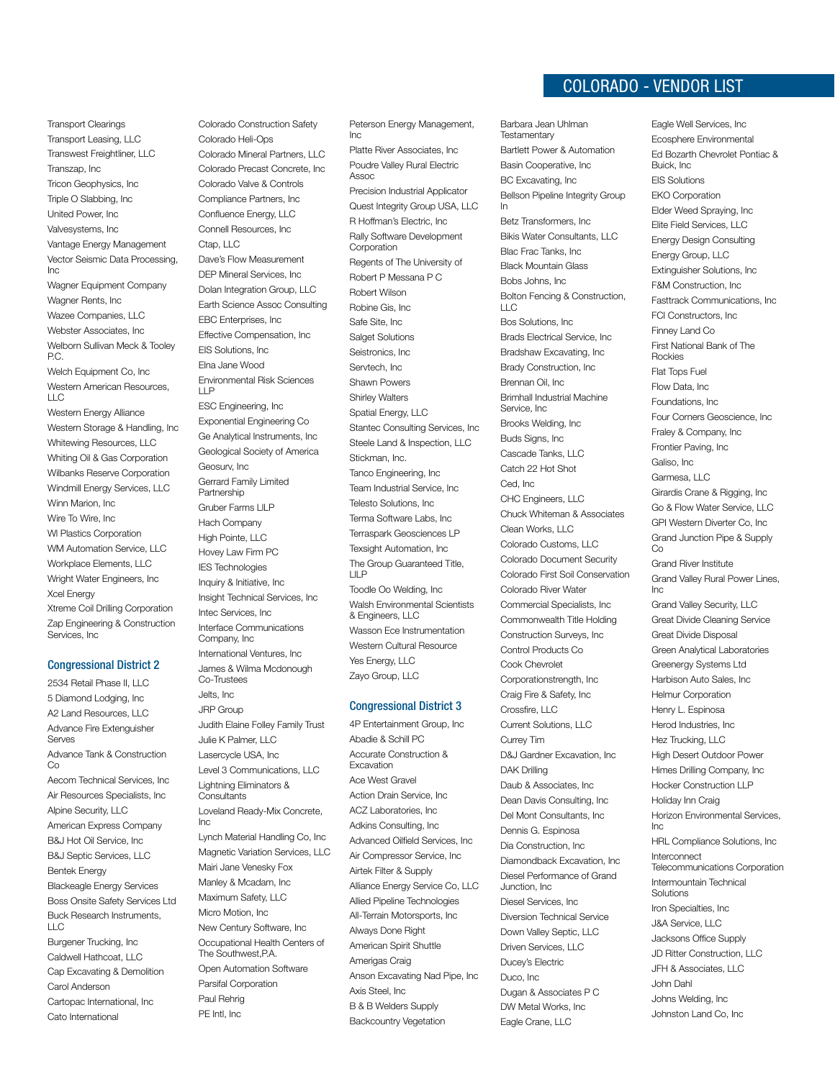Transport Clearings Transport Leasing, LLC Transwest Freightliner, LLC Transzap, Inc Tricon Geophysics, Inc Triple O Slabbing, Inc United Power, Inc Valvesystems, Inc Vantage Energy Management Vector Seismic Data Processing, Inc Wagner Equipment Company Wagner Rents, Inc Wazee Companies, LLC Webster Associates, Inc Welborn Sullivan Meck & Tooley P.C. Welch Equipment Co, Inc. Western American Resources, LLC Western Energy Alliance Western Storage & Handling, Inc Whitewing Resources, LLC Whiting Oil & Gas Corporation Wilbanks Reserve Corporation Windmill Energy Services, LLC Winn Marion, Inc Wire To Wire, Inc Wl Plastics Corporation WM Automation Service, LLC Workplace Elements, LLC Wright Water Engineers, Inc Xcel Energy

Xtreme Coil Drilling Corporation Zap Engineering & Construction Services, Inc

#### Congressional District 2

2534 Retail Phase II, LLC 5 Diamond Lodging, Inc A2 Land Resources, LLC Advance Fire Extenguisher Serves Advance Tank & Construction Co Aecom Technical Services, Inc Air Resources Specialists, Inc Alpine Security, LLC American Express Company B&J Hot Oil Service, Inc B&J Septic Services, LLC Bentek Energy Blackeagle Energy Services Boss Onsite Safety Services Ltd Buck Research Instruments,  $\overline{L}$ Burgener Trucking, Inc

Caldwell Hathcoat, LLC Cap Excavating & Demolition Carol Anderson Cartopac International, Inc Cato International

Colorado Construction Safety Colorado Heli-Ops Colorado Mineral Partners, LLC Colorado Precast Concrete, Inc Colorado Valve & Controls Compliance Partners, Inc Confluence Energy, LLC Connell Resources, Inc Ctap, LLC Dave's Flow Measurement DEP Mineral Services, Inc Dolan Integration Group, LLC Earth Science Assoc Consulting EBC Enterprises, Inc Effective Compensation, Inc EIS Solutions, Inc Elna Jane Wood Environmental Risk Sciences LLP ESC Engineering, Inc Exponential Engineering Co Ge Analytical Instruments, Inc Geological Society of America Geosurv, Inc Gerrard Family Limited Partnership Gruber Farms LlLP Hach Company High Pointe, LLC Hovey Law Firm PC IES Technologies Inquiry & Initiative, Inc Insight Technical Services, Inc Intec Services, Inc Interface Communications Company, Inc International Ventures, Inc James & Wilma Mcdonough Co-Trustees Jelts, Inc JRP Group Judith Elaine Folley Family Trust Julie K Palmer, LLC Lasercycle USA, Inc Level 3 Communications, LLC Lightning Eliminators & **Consultants** Loveland Ready-Mix Concrete, Inc Lynch Material Handling Co, Inc Magnetic Variation Services, LLC Mairi Jane Venesky Fox

Manley & Mcadam, Inc Maximum Safety, LLC Micro Motion, Inc New Century Software, Inc Occupational Health Centers of The Southwest,P.A. Open Automation Software Parsifal Corporation Paul Rehrig PE Intl, Inc

Peterson Energy Management,  $Inc$ Platte River Associates, Inc

Poudre Valley Rural Electric

Assoc Precision Industrial Applicator Quest Integrity Group USA, LLC R Hoffman's Electric, Inc Rally Software Development Corporation Regents of The University of Robert P Messana P C Robert Wilson Robine Gis, Inc Safe Site, Inc Salget Solutions Seistronics, Inc Servtech, Inc Shawn Powers Shirley Walters Spatial Energy, LLC Stantec Consulting Services, Inc Steele Land & Inspection, LLC Stickman, Inc. Tanco Engineering, Inc Team Industrial Service, Inc Telesto Solutions, Inc Terma Software Labs, Inc Terraspark Geosciences LP Texsight Automation, Inc The Group Guaranteed Title, LlLP Toodle Oo Welding, Inc Walsh Environmental Scientists & Engineers, LLC Wasson Ece Instrumentation Western Cultural Resource Yes Energy, LLC Zayo Group, LLC

#### Congressional District 3

4P Entertainment Group, Inc Abadie & Schill PC Accurate Construction & Excavation Ace West Gravel Action Drain Service, Inc ACZ Laboratories, Inc Adkins Consulting, Inc Advanced Oilfield Services, Inc Air Compressor Service, Inc Airtek Filter & Supply Alliance Energy Service Co, LLC Allied Pipeline Technologies All-Terrain Motorsports, Inc Always Done Right American Spirit Shuttle Amerigas Craig Anson Excavating Nad Pipe, Inc Axis Steel, Inc B & B Welders Supply Backcountry Vegetation

## Colorado - VENDOR LIST

Eagle Well Services, Inc

Barbara Jean Uhlman **Testamentary** Bartlett Power & Automation Basin Cooperative, Inc BC Excavating, Inc Bellson Pipeline Integrity Group In Betz Transformers, Inc Bikis Water Consultants, LLC Blac Frac Tanks, Inc Black Mountain Glass Bobs Johns, Inc Bolton Fencing & Construction,  $\sqcup$  C Bos Solutions, Inc Brads Electrical Service, Inc Bradshaw Excavating, Inc Brady Construction, Inc Brennan Oil, Inc Brimhall Industrial Machine Service, Inc Brooks Welding, Inc Buds Signs, Inc Cascade Tanks, LLC Catch 22 Hot Shot Ced, Inc CHC Engineers, LLC Chuck Whiteman & Associates Clean Works, LLC Colorado Customs, LLC Colorado Document Security Colorado First Soil Conservation Colorado River Water Commercial Specialists, Inc Commonwealth Title Holding Construction Surveys, Inc Control Products Co Cook Chevrolet Corporationstrength, Inc Craig Fire & Safety, Inc Crossfire, LLC Current Solutions, LLC Currey Tim D&J Gardner Excavation, Inc DAK Drilling Daub & Associates, Inc Dean Davis Consulting, Inc Del Mont Consultants, Inc Dennis G. Espinosa Dia Construction, Inc Diamondback Excavation, Inc Diesel Performance of Grand Junction, Inc Diesel Services, Inc Diversion Technical Service Down Valley Septic, LLC Driven Services, LLC Ducey's Electric Duco, Inc Dugan & Associates P C DW Metal Works, Inc Eagle Crane, LLC

Ecosphere Environmental Ed Bozarth Chevrolet Pontiac & Buick, Inc EIS Solutions EKO Corporation Elder Weed Spraying, Inc Elite Field Services, LLC Energy Design Consulting Energy Group, LLC Extinguisher Solutions, Inc F&M Construction, Inc Fasttrack Communications, Inc FCI Constructors, Inc Finney Land Co First National Bank of The Rockies Flat Tops Fuel Flow Data, Inc Foundations, Inc Four Corners Geoscience, Inc Fraley & Company, Inc Frontier Paving, Inc Galiso, Inc Garmesa, LLC Girardis Crane & Rigging, Inc Go & Flow Water Service, LLC GPI Western Diverter Co, Inc Grand Junction Pipe & Supply  $Co$ Grand River Institute Grand Valley Rural Power Lines, Inc Grand Valley Security, LLC Great Divide Cleaning Service Great Divide Disposal Green Analytical Laboratories Greenergy Systems Ltd Harbison Auto Sales, Inc Helmur Corporation Henry L. Espinosa Herod Industries, Inc Hez Trucking, LLC High Desert Outdoor Power Himes Drilling Company, Inc Hocker Construction LLP Holiday Inn Craig Horizon Environmental Services, Inc HRL Compliance Solutions, Inc Interconnect Telecommunications Corporation Intermountain Technical Solutions Iron Specialties, Inc J&A Service, LLC Jacksons Office Supply JD Ritter Construction, LLC JFH & Associates, LLC John Dahl Johns Welding, Inc Johnston Land Co, Inc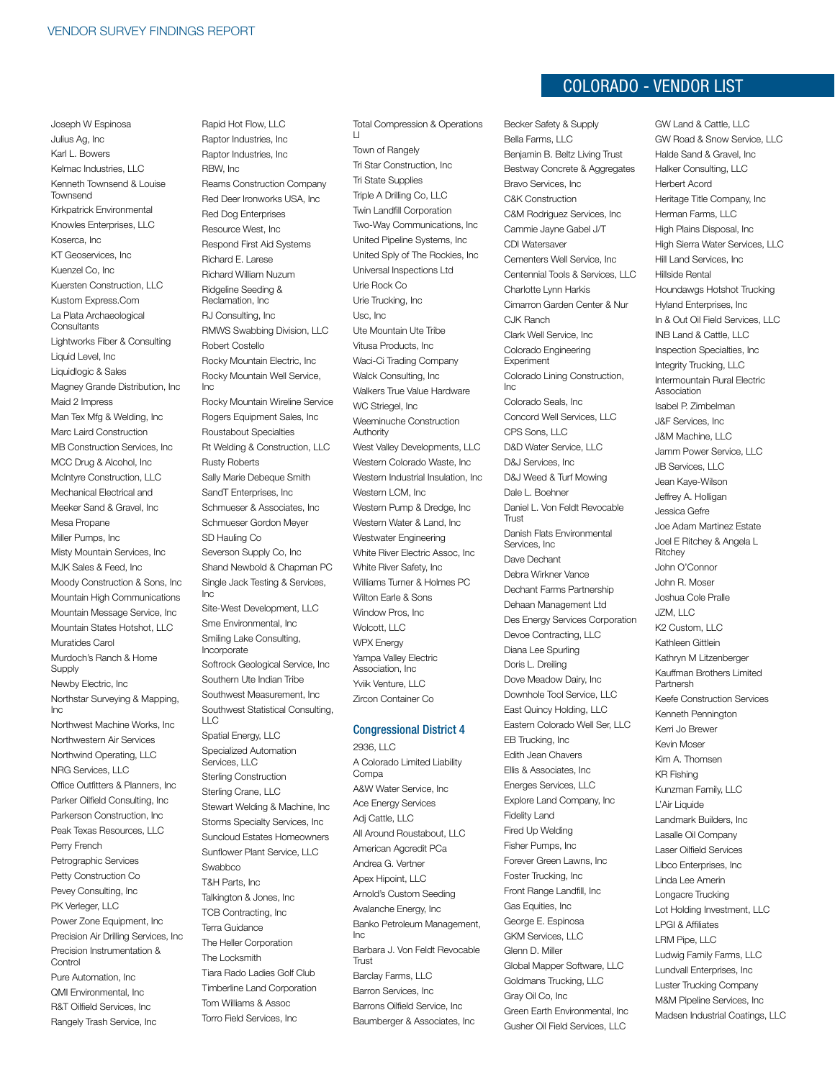Joseph W Espinosa Julius Ag, Inc Karl L. Bowers Kelmac Industries, LLC Kenneth Townsend & Louise Townsend Kirkpatrick Environmental Knowles Enterprises, LLC Koserca, Inc KT Geoservices, Inc Kuenzel Co, Inc Kuersten Construction, LLC Kustom Express.Com La Plata Archaeological **Consultants** Lightworks Fiber & Consulting Liquid Level, Inc Liquidlogic & Sales Magney Grande Distribution, Inc Maid 2 Impress Man Tex Mfg & Welding, Inc Marc Laird Construction MB Construction Services, Inc MCC Drug & Alcohol, Inc McIntyre Construction, LLC Mechanical Electrical and Meeker Sand & Gravel, Inc Mesa Propane Miller Pumps, Inc. Misty Mountain Services, Inc MJK Sales & Feed, Inc Moody Construction & Sons, Inc Mountain High Communications Mountain Message Service, Inc Mountain States Hotshot, LLC Muratides Carol Murdoch's Ranch & Home Supply Newby Electric, Inc Northstar Surveying & Mapping, Inc Northwest Machine Works, Inc Northwestern Air Services Northwind Operating, LLC NRG Services, LLC Office Outfitters & Planners, Inc Parker Oilfield Consulting, Inc Parkerson Construction, Inc Peak Texas Resources, LLC Perry French Petrographic Services Petty Construction Co Pevey Consulting, Inc PK Verleger, LLC Power Zone Equipment, Inc Precision Air Drilling Services, Inc Precision Instrumentation & Control Pure Automation, Inc QMI Environmental, Inc R&T Oilfield Services, Inc

Rangely Trash Service, Inc

Rapid Hot Flow, LLC Raptor Industries, Inc Raptor Industries, Inc RBW, Inc Reams Construction Company Red Deer Ironworks USA, Inc Red Dog Enterprises Resource West, Inc Respond First Aid Systems Richard E. Larese Richard William Nuzum Ridgeline Seeding & Reclamation, Inc RJ Consulting, Inc RMWS Swabbing Division, LLC Robert Costello Rocky Mountain Electric, Inc Rocky Mountain Well Service, Inc Rocky Mountain Wireline Service Rogers Equipment Sales, Inc Roustabout Specialties Rt Welding & Construction, LLC Rusty Roberts Sally Marie Debeque Smith SandT Enterprises, Inc Schmueser & Associates, Inc Schmueser Gordon Meyer SD Hauling Co Severson Supply Co, Inc. Shand Newbold & Chapman PC Single Jack Testing & Services, Inc Site-West Development, LLC Sme Environmental, Inc Smiling Lake Consulting, Incorporate Softrock Geological Service, Inc Southern Ute Indian Tribe Southwest Measurement, Inc. Southwest Statistical Consulting,  $\sqcup$  C Spatial Energy, LLC Specialized Automation Services, LLC Sterling Construction Sterling Crane, LLC Stewart Welding & Machine, Inc Storms Specialty Services, Inc Suncloud Estates Homeowners Sunflower Plant Service, LLC Swabbco T&H Parts, Inc Talkington & Jones, Inc TCB Contracting, Inc Terra Guidance The Heller Corporation The Locksmith Tiara Rado Ladies Golf Club Timberline Land Corporation Tom Williams & Assoc Torro Field Services, Inc

Total Compression & Operations Ll

Town of Rangely Tri Star Construction, Inc Tri State Supplies Triple A Drilling Co, LLC Twin Landfill Corporation Two-Way Communications, Inc United Pipeline Systems, Inc United Sply of The Rockies, Inc Universal Inspections Ltd Urie Rock Co Urie Trucking, Inc Usc, Inc Ute Mountain Ute Tribe Vitusa Products, Inc Waci-Ci Trading Company Walck Consulting, Inc Walkers True Value Hardware WC Striegel, Inc Weeminuche Construction **Authority** West Valley Developments, LLC Western Colorado Waste, Inc Western Industrial Insulation, Inc. Western LCM, Inc Western Pump & Dredge, Inc Western Water & Land, Inc Westwater Engineering White River Electric Assoc, Inc White River Safety, Inc Williams Turner & Holmes PC Wilton Earle & Sons Window Pros, Inc Wolcott, LLC WPX Energy Yampa Valley Electric Association, Inc Yviik Venture, LLC Zircon Container Co

#### Congressional District 4

2936, LLC A Colorado Limited Liability Compa A&W Water Service, Inc Ace Energy Services Adj Cattle, LLC All Around Roustabout, LLC American Agcredit PCa Andrea G. Vertner Apex Hipoint, LLC Arnold's Custom Seeding Avalanche Energy, Inc Banko Petroleum Management, Inc Barbara J. Von Feldt Revocable **Trust** Barclay Farms, LLC Barron Services, Inc Barrons Oilfield Service, Inc Baumberger & Associates, Inc

## Colorado - VENDOR LIST

Becker Safety & Supply Bella Farms, LLC Benjamin B. Beltz Living Trust Bestway Concrete & Aggregates Bravo Services, Inc C&K Construction C&M Rodriguez Services, Inc Cammie Jayne Gabel J/T CDI Watersaver Cementers Well Service, Inc Centennial Tools & Services, LLC Charlotte Lynn Harkis Cimarron Garden Center & Nur CJK Ranch Clark Well Service, Inc Colorado Engineering **Experiment** Colorado Lining Construction, Inc Colorado Seals, Inc Concord Well Services, LLC CPS Sons, LLC D&D Water Service, LLC D&J Services, Inc D&J Weed & Turf Mowing Dale L. Boehner Daniel L. Von Feldt Revocable Trust Danish Flats Environmental Services, Inc. Dave Dechant Debra Wirkner Vance Dechant Farms Partnership Dehaan Management Ltd Des Energy Services Corporation Devoe Contracting, LLC Diana Lee Spurling Doris L. Dreiling Dove Meadow Dairy, Inc Downhole Tool Service, LLC East Quincy Holding, LLC Eastern Colorado Well Ser, LLC EB Trucking, Inc Edith Jean Chavers Ellis & Associates, Inc Energes Services, LLC Explore Land Company, Inc Fidelity Land Fired Up Welding Fisher Pumps, Inc Forever Green Lawns, Inc Foster Trucking, Inc Front Range Landfill, Inc Gas Equities, Inc George E. Espinosa GKM Services, LLC Glenn D. Miller Global Mapper Software, LLC Goldmans Trucking, LLC Gray Oil Co, Inc Green Earth Environmental, Inc Gusher Oil Field Services, LLC

GW Land & Cattle, LLC GW Road & Snow Service, LLC Halde Sand & Gravel, Inc Halker Consulting, LLC Herbert Acord Heritage Title Company, Inc Herman Farms, LLC High Plains Disposal, Inc High Sierra Water Services, LLC Hill Land Services, Inc Hillside Rental Houndawgs Hotshot Trucking Hyland Enterprises, Inc In & Out Oil Field Services, LLC INB Land & Cattle, LLC Inspection Specialties, Inc Integrity Trucking, LLC Intermountain Rural Electric Association Isabel P. Zimbelman J&F Services, Inc J&M Machine, LLC Jamm Power Service, LLC JB Services, LLC Jean Kaye-Wilson Jeffrey A. Holligan Jessica Gefre Joe Adam Martinez Estate Joel E Ritchey & Angela L Ritchey John O'Connor John R. Moser Joshua Cole Pralle JZM, LLC K<sub>2</sub> Custom, LLC Kathleen Gittlein Kathryn M Litzenberger Kauffman Brothers Limited Partnersh Keefe Construction Services Kenneth Pennington Kerri Jo Brewer Kevin Moser Kim A. Thomsen KR Fishing Kunzman Family, LLC L'Air Liquide Landmark Builders, Inc Lasalle Oil Company Laser Oilfield Services Libco Enterprises, Inc Linda Lee Amerin Longacre Trucking Lot Holding Investment, LLC LPGI & Affiliates LRM Pipe, LLC Ludwig Family Farms, LLC Lundvall Enterprises, Inc Luster Trucking Company M&M Pipeline Services, Inc Madsen Industrial Coatings, LLC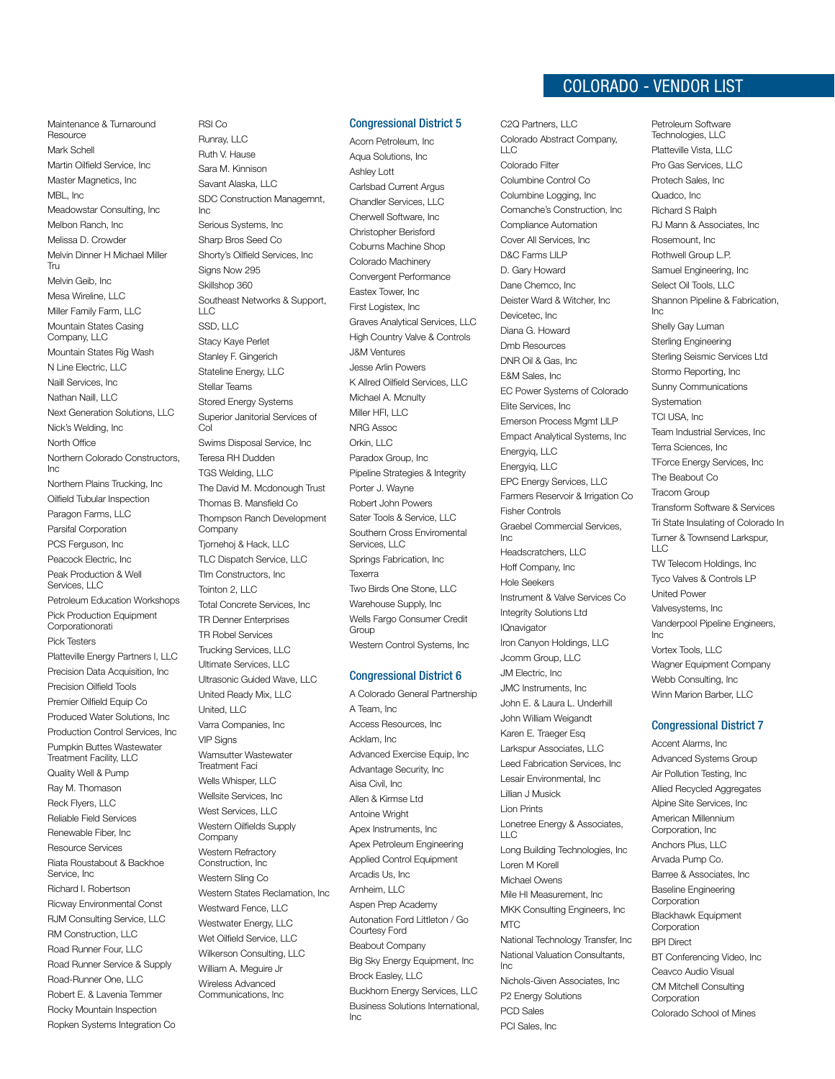## Colorado - VENDOR LIST

Maintenance & Turnaround Resource Mark Schell Martin Oilfield Service, Inc Master Magnetics, Inc MBL, Inc. Meadowstar Consulting, Inc Melbon Ranch, Inc Melissa D. Crowder Melvin Dinner H Michael Miller Tru Melvin Geib, Inc Mesa Wireline, LLC Miller Family Farm, LLC Mountain States Casing Company, LLC Mountain States Rig Wash N Line Electric, LLC Naill Services, Inc Nathan Naill, LLC Next Generation Solutions, LLC Nick's Welding, Inc North Office Northern Colorado Constructors, Inc Northern Plains Trucking, Inc Oilfield Tubular Inspection Paragon Farms, LLC Parsifal Corporation PCS Ferguson, Inc. Peacock Electric, Inc Peak Production & Well Services, LLC Petroleum Education Workshops Pick Production Equipment Corporationorati Pick Testers Platteville Energy Partners I, LLC Precision Data Acquisition, Inc Precision Oilfield Tools Premier Oilfield Equip Co. Produced Water Solutions, Inc Production Control Services, Inc Pumpkin Buttes Wastewater Treatment Facility, LLC Quality Well & Pump Ray M. Thomason Reck Flyers, LLC Reliable Field Services Renewable Fiber, Inc Resource Services Riata Roustabout & Backhoe Service, Inc Richard I. Robertson Ricway Environmental Const RJM Consulting Service, LLC RM Construction, LLC Road Runner Four, LLC Road Runner Service & Supply Road-Runner One, LLC Robert E. & Lavenia Temmer Rocky Mountain Inspection Ropken Systems Integration Co

RSI Co Runray, LLC Ruth V. Hause Sara M. Kinnison Savant Alaska, LLC SDC Construction Managemnt, Inc Serious Systems, Inc Sharp Bros Seed Co Shorty's Oilfield Services, Inc Signs Now 295 Skillshop 360 Southeast Networks & Support,  $\sqcup$  C SSD, LLC Stacy Kaye Perlet Stanley F. Gingerich Stateline Energy, LLC Stellar Teams Stored Energy Systems Superior Janitorial Services of Col Swims Disposal Service, Inc Teresa RH Dudden TGS Welding, LLC The David M. Mcdonough Trust Thomas B. Mansfield Co Thompson Ranch Development Company Tjornehoj & Hack, LLC TLC Dispatch Service, LLC Tlm Constructors, Inc Tointon 2, LLC Total Concrete Services, Inc TR Denner Enterprises TR Robel Services Trucking Services, LLC Ultimate Services, LLC Ultrasonic Guided Wave, LLC United Ready Mix, LLC United, LLC Varra Companies, Inc VIP Signs Wamsutter Wastewater Treatment Faci Wells Whisper, LLC Wellsite Services, Inc West Services, LLC Western Oilfields Supply **Company** Western Refractory Construction, Inc Western Sling Co Western States Reclamation, Inc Westward Fence, LLC Westwater Energy, LLC Wet Oilfield Service, LLC Wilkerson Consulting, LLC William A. Meguire Jr Wireless Advanced Communications, Inc

#### Congressional District 5

Acorn Petroleum, Inc Aqua Solutions, Inc Ashley Lott Carlsbad Current Argus Chandler Services, LLC Cherwell Software, Inc Christopher Berisford Coburns Machine Shop Colorado Machinery Convergent Performance Eastex Tower, Inc First Logistex, Inc Graves Analytical Services, LLC High Country Valve & Controls J&M Ventures Jesse Arlin Powers K Allred Oilfield Services, LLC Michael A. Mcnulty Miller HFI, LLC NRG Assoc Orkin, LLC Paradox Group, Inc Pipeline Strategies & Integrity Porter J. Wayne Robert John Powers Sater Tools & Service, LLC Southern Cross Enviromental Services, LLC Springs Fabrication, Inc Texerra Two Birds One Stone, LLC Warehouse Supply, Inc Wells Fargo Consumer Credit **Group** Western Control Systems, Inc

#### Congressional District 6

A Colorado General Partnership A Team, Inc Access Resources, Inc Acklam, Inc Advanced Exercise Equip, Inc Advantage Security, Inc Aisa Civil, Inc Allen & Kirmse Ltd Antoine Wright Apex Instruments, Inc Apex Petroleum Engineering Applied Control Equipment Arcadis Us, Inc Arnheim, LLC Aspen Prep Academy Autonation Ford Littleton / Go Courtesy Ford Beabout Company Big Sky Energy Equipment, Inc Brock Easley, LLC Buckhorn Energy Services, LLC Business Solutions International, Inc

C2Q Partners, LLC Colorado Abstract Company,  $\Box$ C Colorado Filter Columbine Control Co Columbine Logging, Inc Comanche's Construction, Inc Compliance Automation Cover All Services, Inc D&C Farms LlLP D. Gary Howard Dane Chemco, Inc Deister Ward & Witcher, Inc Devicetec, Inc Diana G. Howard Dmb Resources DNR Oil & Gas, Inc E&M Sales, Inc EC Power Systems of Colorado Elite Services, Inc Emerson Process Mgmt LlLP Empact Analytical Systems, Inc Energyiq, LLC Energyiq, LLC EPC Energy Services, LLC Farmers Reservoir & Irrigation Co Fisher Controls Graebel Commercial Services, Inc Headscratchers, LLC Hoff Company, Inc Hole Seekers Instrument & Valve Services Co Integrity Solutions Ltd **IQnavigator** Iron Canyon Holdings, LLC Jcomm Group, LLC JM Electric, Inc JMC Instruments, Inc John E. & Laura L. Underhill John William Weigandt Karen E. Traeger Esq Larkspur Associates, LLC Leed Fabrication Services, Inc Lesair Environmental, Inc Lillian J Musick Lion Prints Lonetree Energy & Associates, LLC Long Building Technologies, Inc Loren M Korell Michael Owens Mile HI Measurement, Inc MKK Consulting Engineers, Inc M<sub>TC</sub> National Technology Transfer, Inc National Valuation Consultants, Inc Nichols-Given Associates, Inc P2 Energy Solutions

PCD Sales PCI Sales, Inc Petroleum Software Technologies, LLC Platteville Vista, LLC Pro Gas Services, LLC Protech Sales, Inc Quadco, Inc Richard S Ralph RJ Mann & Associates, Inc Rosemount, Inc Rothwell Group L.P. Samuel Engineering, Inc Select Oil Tools, LLC Shannon Pipeline & Fabrication, Inc Shelly Gay Luman Sterling Engineering Sterling Seismic Services Ltd Stormo Reporting, Inc Sunny Communications **Systemation** TCI USA, Inc Team Industrial Services, Inc Terra Sciences, Inc TForce Energy Services, Inc The Beabout Co Tracom Group Transform Software & Services Tri State Insulating of Colorado In Turner & Townsend Larkspur,  $\sqcup$  C TW Telecom Holdings, Inc Tyco Valves & Controls LP United Power Valvesystems, Inc Vanderpool Pipeline Engineers, Inc Vortex Tools, LLC Wagner Equipment Company Webb Consulting, Inc Winn Marion Barber, LLC

#### Congressional District 7

Accent Alarms, Inc Advanced Systems Group Air Pollution Testing, Inc Allied Recycled Aggregates Alpine Site Services, Inc American Millennium Corporation, Inc Anchors Plus, LLC Arvada Pump Co. Barree & Associates, Inc Baseline Engineering Corporation Blackhawk Equipment Corporation BPI Direct BT Conferencing Video, Inc Ceavco Audio Visual CM Mitchell Consulting Corporation Colorado School of Mines